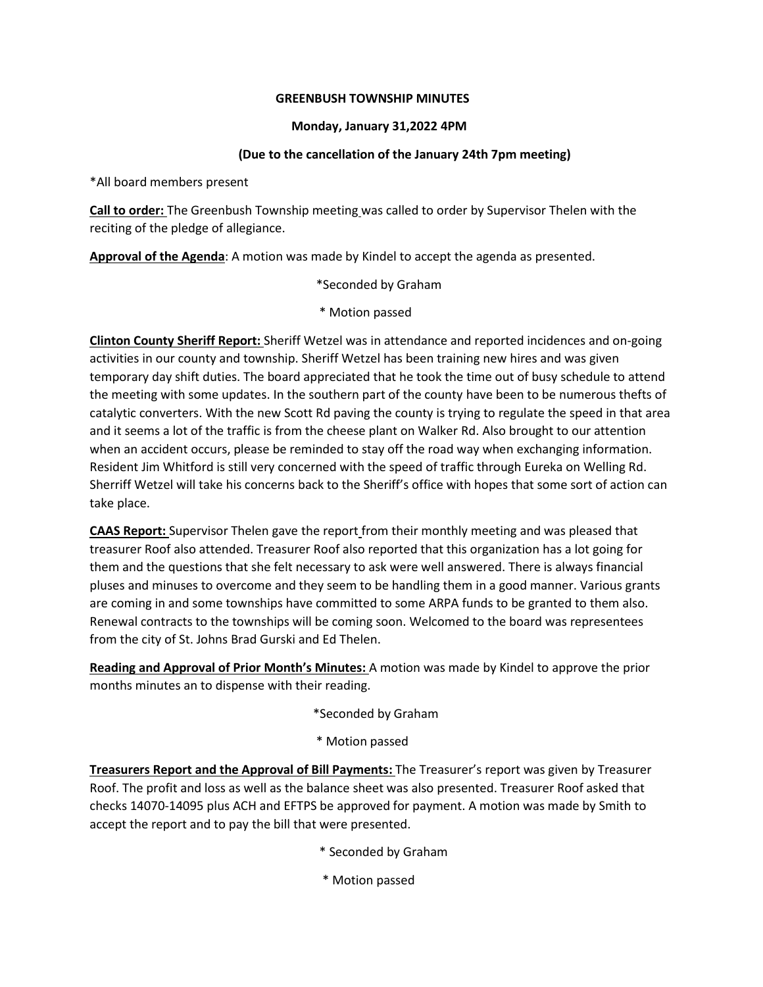### **GREENBUSH TOWNSHIP MINUTES**

## **Monday, January 31,2022 4PM**

## **(Due to the cancellation of the January 24th 7pm meeting)**

\*All board members present

**Call to order:** The Greenbush Township meeting was called to order by Supervisor Thelen with the reciting of the pledge of allegiance.

**Approval of the Agenda**: A motion was made by Kindel to accept the agenda as presented.

\*Seconded by Graham

\* Motion passed

**Clinton County Sheriff Report:** Sheriff Wetzel was in attendance and reported incidences and on-going activities in our county and township. Sheriff Wetzel has been training new hires and was given temporary day shift duties. The board appreciated that he took the time out of busy schedule to attend the meeting with some updates. In the southern part of the county have been to be numerous thefts of catalytic converters. With the new Scott Rd paving the county is trying to regulate the speed in that area and it seems a lot of the traffic is from the cheese plant on Walker Rd. Also brought to our attention when an accident occurs, please be reminded to stay off the road way when exchanging information. Resident Jim Whitford is still very concerned with the speed of traffic through Eureka on Welling Rd. Sherriff Wetzel will take his concerns back to the Sheriff's office with hopes that some sort of action can take place.

**CAAS Report:** Supervisor Thelen gave the report from their monthly meeting and was pleased that treasurer Roof also attended. Treasurer Roof also reported that this organization has a lot going for them and the questions that she felt necessary to ask were well answered. There is always financial pluses and minuses to overcome and they seem to be handling them in a good manner. Various grants are coming in and some townships have committed to some ARPA funds to be granted to them also. Renewal contracts to the townships will be coming soon. Welcomed to the board was representees from the city of St. Johns Brad Gurski and Ed Thelen.

**Reading and Approval of Prior Month's Minutes:** A motion was made by Kindel to approve the prior months minutes an to dispense with their reading.

\*Seconded by Graham

### \* Motion passed

**Treasurers Report and the Approval of Bill Payments:** The Treasurer's report was given by Treasurer Roof. The profit and loss as well as the balance sheet was also presented. Treasurer Roof asked that checks 14070-14095 plus ACH and EFTPS be approved for payment. A motion was made by Smith to accept the report and to pay the bill that were presented.

\* Seconded by Graham

\* Motion passed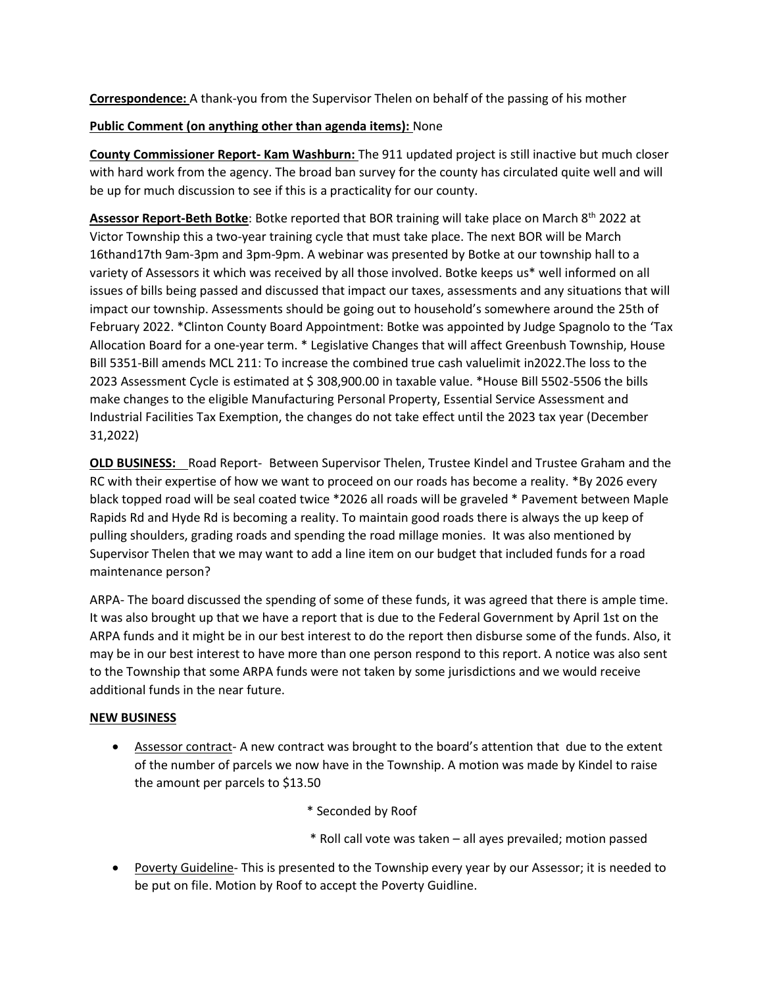**Correspondence:** A thank-you from the Supervisor Thelen on behalf of the passing of his mother

## **Public Comment (on anything other than agenda items):** None

**County Commissioner Report- Kam Washburn:** The 911 updated project is still inactive but much closer with hard work from the agency. The broad ban survey for the county has circulated quite well and will be up for much discussion to see if this is a practicality for our county.

Assessor Report-Beth Botke: Botke reported that BOR training will take place on March 8<sup>th</sup> 2022 at Victor Township this a two-year training cycle that must take place. The next BOR will be March 16thand17th 9am-3pm and 3pm-9pm. A webinar was presented by Botke at our township hall to a variety of Assessors it which was received by all those involved. Botke keeps us\* well informed on all issues of bills being passed and discussed that impact our taxes, assessments and any situations that will impact our township. Assessments should be going out to household's somewhere around the 25th of February 2022. \*Clinton County Board Appointment: Botke was appointed by Judge Spagnolo to the 'Tax Allocation Board for a one-year term. \* Legislative Changes that will affect Greenbush Township, House Bill 5351-Bill amends MCL 211: To increase the combined true cash valuelimit in2022.The loss to the 2023 Assessment Cycle is estimated at \$ 308,900.00 in taxable value. \*House Bill 5502-5506 the bills make changes to the eligible Manufacturing Personal Property, Essential Service Assessment and Industrial Facilities Tax Exemption, the changes do not take effect until the 2023 tax year (December 31,2022)

**OLD BUSINESS:** Road Report- Between Supervisor Thelen, Trustee Kindel and Trustee Graham and the RC with their expertise of how we want to proceed on our roads has become a reality. \*By 2026 every black topped road will be seal coated twice \*2026 all roads will be graveled \* Pavement between Maple Rapids Rd and Hyde Rd is becoming a reality. To maintain good roads there is always the up keep of pulling shoulders, grading roads and spending the road millage monies. It was also mentioned by Supervisor Thelen that we may want to add a line item on our budget that included funds for a road maintenance person?

ARPA- The board discussed the spending of some of these funds, it was agreed that there is ample time. It was also brought up that we have a report that is due to the Federal Government by April 1st on the ARPA funds and it might be in our best interest to do the report then disburse some of the funds. Also, it may be in our best interest to have more than one person respond to this report. A notice was also sent to the Township that some ARPA funds were not taken by some jurisdictions and we would receive additional funds in the near future.

# **NEW BUSINESS**

- Assessor contract- A new contract was brought to the board's attention that due to the extent of the number of parcels we now have in the Township. A motion was made by Kindel to raise the amount per parcels to \$13.50
	- \* Seconded by Roof
	- \* Roll call vote was taken all ayes prevailed; motion passed
- Poverty Guideline-This is presented to the Township every year by our Assessor; it is needed to be put on file. Motion by Roof to accept the Poverty Guidline.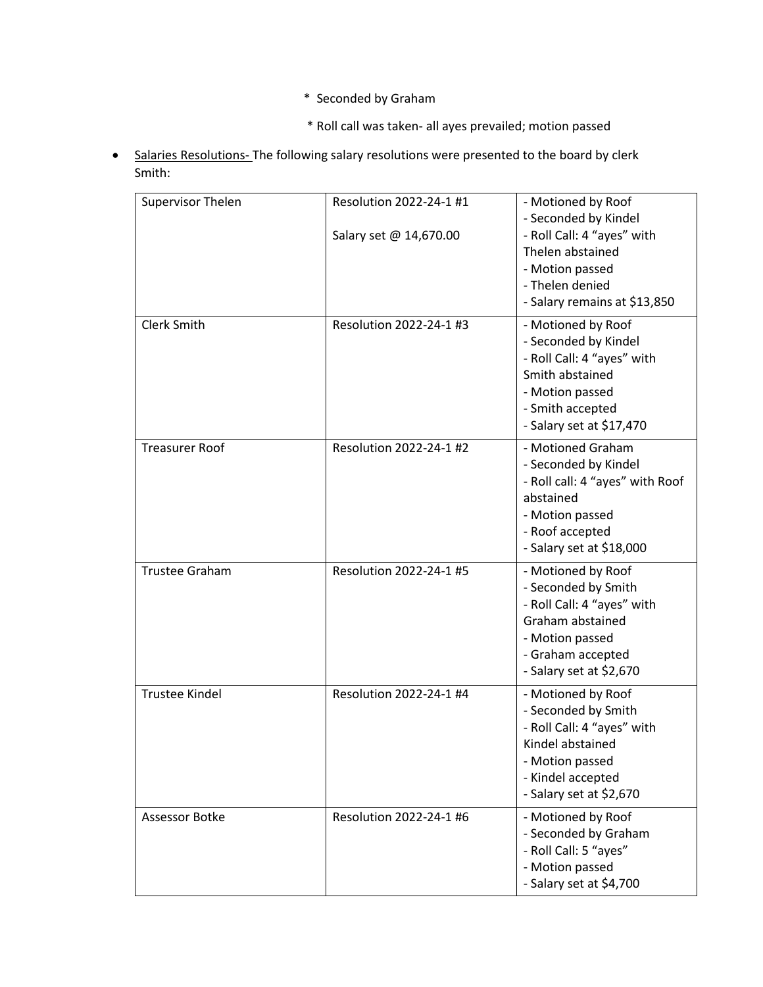- \* Seconded by Graham
- \* Roll call was taken- all ayes prevailed; motion passed
- Salaries Resolutions- The following salary resolutions were presented to the board by clerk Smith:

| Supervisor Thelen     | Resolution 2022-24-1 #1 | - Motioned by Roof              |
|-----------------------|-------------------------|---------------------------------|
|                       |                         | - Seconded by Kindel            |
|                       | Salary set @ 14,670.00  | - Roll Call: 4 "ayes" with      |
|                       |                         | Thelen abstained                |
|                       |                         | - Motion passed                 |
|                       |                         | - Thelen denied                 |
|                       |                         | - Salary remains at \$13,850    |
| <b>Clerk Smith</b>    | Resolution 2022-24-1 #3 | - Motioned by Roof              |
|                       |                         | - Seconded by Kindel            |
|                       |                         | - Roll Call: 4 "ayes" with      |
|                       |                         | Smith abstained                 |
|                       |                         | - Motion passed                 |
|                       |                         | - Smith accepted                |
|                       |                         | - Salary set at \$17,470        |
| <b>Treasurer Roof</b> | Resolution 2022-24-1 #2 | - Motioned Graham               |
|                       |                         | - Seconded by Kindel            |
|                       |                         | - Roll call: 4 "ayes" with Roof |
|                       |                         | abstained                       |
|                       |                         | - Motion passed                 |
|                       |                         | - Roof accepted                 |
|                       |                         | - Salary set at \$18,000        |
| <b>Trustee Graham</b> | Resolution 2022-24-1 #5 | - Motioned by Roof              |
|                       |                         | - Seconded by Smith             |
|                       |                         | - Roll Call: 4 "ayes" with      |
|                       |                         | Graham abstained                |
|                       |                         | - Motion passed                 |
|                       |                         | - Graham accepted               |
|                       |                         | - Salary set at \$2,670         |
| <b>Trustee Kindel</b> | Resolution 2022-24-1 #4 | - Motioned by Roof              |
|                       |                         | - Seconded by Smith             |
|                       |                         | - Roll Call: 4 "ayes" with      |
|                       |                         | Kindel abstained                |
|                       |                         | - Motion passed                 |
|                       |                         | - Kindel accepted               |
|                       |                         | - Salary set at \$2,670         |
| Assessor Botke        | Resolution 2022-24-1 #6 | - Motioned by Roof              |
|                       |                         | - Seconded by Graham            |
|                       |                         | - Roll Call: 5 "ayes"           |
|                       |                         | - Motion passed                 |
|                       |                         | - Salary set at \$4,700         |